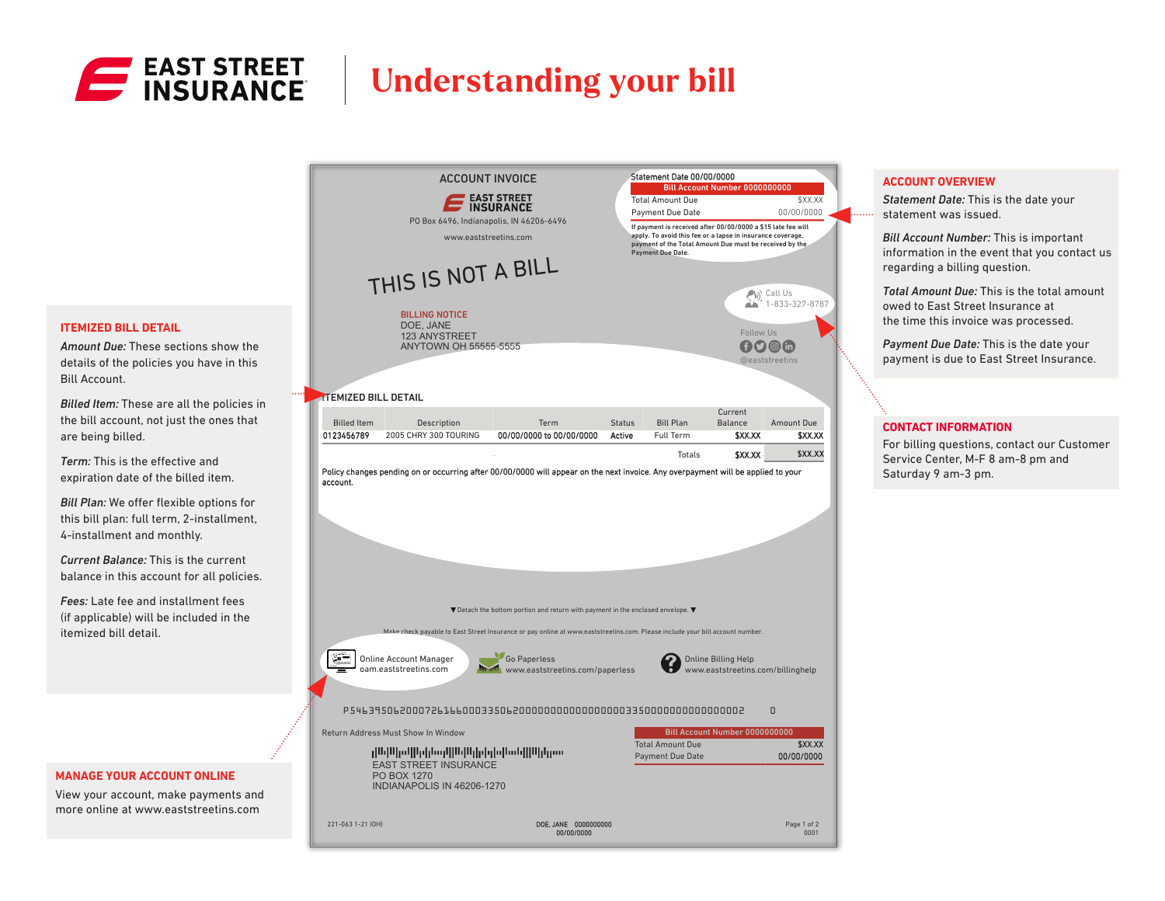

## **Understanding your bill**

Statement Date 00/00/0000

ACCOUNT INVOICE



*Statement Date:* This is the date your statement was issued.

*Bill Account Number:* This is important information in the event that you contact us regarding a billing question.

*Total Amount Due:* This is the total amount owed to East Street Insurance at the time this invoice was processed.

*Payment Due Date:* This is the date your payment is due to East Street Insurance.

#### **CONTACT INFORMATION**

For billing questions, contact our Customer Service Center, M-F 8 am-8 pm and Saturday 9 am-3 pm.

#### **ITEMIZED BILL DETAIL**

*Amount Due:* These sections show the details of the policies you have in this Bill Account.

*Billed Item:* These are all the policies in the bill account, not just the ones that are being billed.

*Term:* This is the effective and expiration date of the billed item.

*Bill Plan:* We offer flexible options for this bill plan: full term, 2-installment, 4-installment and monthly.

*Current Balance:* This is the current balance in this account for all policies.

*Fees:* Late fee and installment fees (if applicable) will be included in the itemized bill detail.

#### **MANAGE YOUR ACCOUNT ONLINE**

View your account, make payments and more online at www.eaststreetins.com